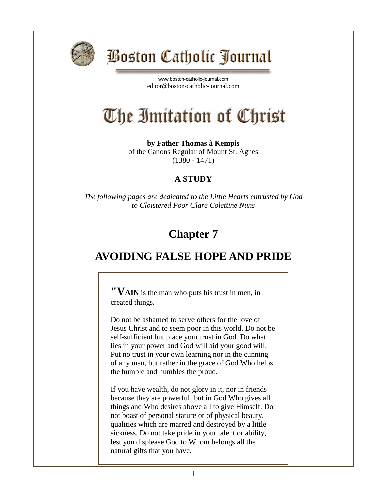

## Boston Catholic Journal

[www.boston-catholic-journal.com](http://www.boston-catholic-journal.com/) editor@boston-catholic-journal.com

# The Imitation of Christ

**by Father Thomas à Kempis** of the Canons Regular of Mount St. Agnes (1380 - 1471)

#### **A STUDY**

*The following pages are dedicated to the Little Hearts entrusted by God to Cloistered Poor Clare Colettine Nuns*

### **Chapter 7**

#### **AVOIDING FALSE HOPE AND PRIDE**

**"VAIN** is the man who puts his trust in men, in created things.

Do not be ashamed to serve others for the love of Jesus Christ and to seem poor in this world. Do not be self-sufficient but place your trust in God. Do what lies in your power and God will aid your good will. Put no trust in your own learning nor in the cunning of any man, but rather in the grace of God Who helps the humble and humbles the proud.

If you have wealth, do not glory in it, nor in friends because they are powerful, but in God Who gives all things and Who desires above all to give Himself. Do not boast of personal stature or of physical beauty, qualities which are marred and destroyed by a little sickness. Do not take pride in your talent or ability, lest you displease God to Whom belongs all the natural gifts that you have.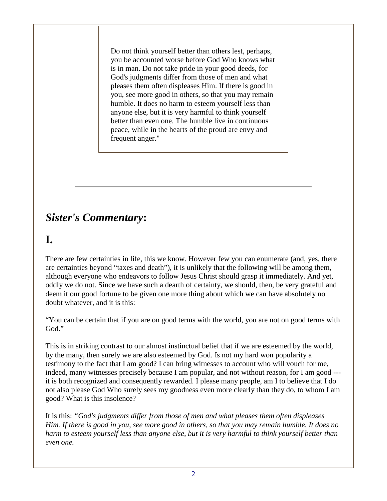Do not think yourself better than others lest, perhaps, you be accounted worse before God Who knows what is in man. Do not take pride in your good deeds, for God's judgments differ from those of men and what pleases them often displeases Him. If there is good in you, see more good in others, so that you may remain humble. It does no harm to esteem yourself less than anyone else, but it is very harmful to think yourself better than even one. The humble live in continuous peace, while in the hearts of the proud are envy and frequent anger."

#### *Sister's Commentary***:**

#### **I.**

There are few certainties in life, this we know. However few you can enumerate (and, yes, there are certainties beyond "taxes and death"), it is unlikely that the following will be among them, although everyone who endeavors to follow Jesus Christ should grasp it immediately. And yet, oddly we do not. Since we have such a dearth of certainty, we should, then, be very grateful and deem it our good fortune to be given one more thing about which we can have absolutely no doubt whatever, and it is this:

"You can be certain that if you are on good terms with the world, you are not on good terms with God."

This is in striking contrast to our almost instinctual belief that if we are esteemed by the world, by the many, then surely we are also esteemed by God. Is not my hard won popularity a testimony to the fact that I am good? I can bring witnesses to account who will vouch for me, indeed, many witnesses precisely because I am popular, and not without reason, for I am good -- it is both recognized and consequently rewarded. I please many people, am I to believe that I do not also please God Who surely sees my goodness even more clearly than they do, to whom I am good? What is this insolence?

It is this: *"God's judgments differ from those of men and what pleases them often displeases Him. If there is good in you, see more good in others, so that you may remain humble. It does no harm to esteem yourself less than anyone else, but it is very harmful to think yourself better than even one.*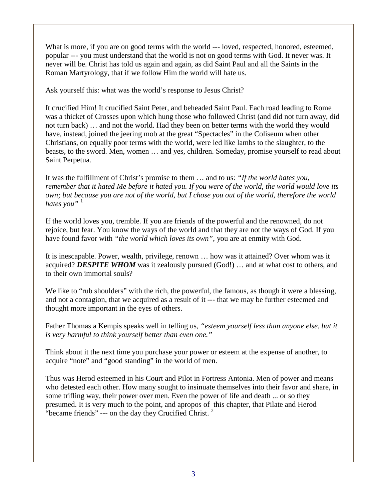What is more, if you are on good terms with the world --- loved, respected, honored, esteemed, popular --- you must understand that the world is not on good terms with God. It never was. It never will be. Christ has told us again and again, as did Saint Paul and all the Saints in the Roman Martyrology, that if we follow Him the world will hate us.

Ask yourself this: what was the world's response to Jesus Christ?

It crucified Him! It crucified Saint Peter, and beheaded Saint Paul. Each road leading to Rome was a thicket of Crosses upon which hung those who followed Christ (and did not turn away, did not turn back) … and not the world. Had they been on better terms with the world they would have, instead, joined the jeering mob at the great "Spectacles" in the Coliseum when other Christians, on equally poor terms with the world, were led like lambs to the slaughter, to the beasts, to the sword. Men, women … and yes, children. Someday, promise yourself to read about Saint Perpetua.

It was the fulfillment of Christ's promise to them … and to us: *"If the world hates you, remember that it hated Me before it hated you. If you were of the world, the world would love its own; but because you are not of the world, but I chose you out of the world, therefore the world hates you*"<sup>1</sup>

If the world loves you, tremble. If you are friends of the powerful and the renowned, do not rejoice, but fear. You know the ways of the world and that they are not the ways of God. If you have found favor with *"the world which loves its own"*, you are at enmity with God.

It is inescapable. Power, wealth, privilege, renown … how was it attained? Over whom was it acquired? *DESPITE WHOM* was it zealously pursued (God!) … and at what cost to others, and to their own immortal souls?

We like to "rub shoulders" with the rich, the powerful, the famous, as though it were a blessing, and not a contagion, that we acquired as a result of it --- that we may be further esteemed and thought more important in the eyes of others.

Father Thomas a Kempis speaks well in telling us, *"esteem yourself less than anyone else, but it is very harmful to think yourself better than even one."*

Think about it the next time you purchase your power or esteem at the expense of another, to acquire "note" and "good standing" in the world of men.

Thus was Herod esteemed in his Court and Pilot in Fortress Antonia. Men of power and means who detested each other. How many sought to insinuate themselves into their favor and share, in some trifling way, their power over men. Even the power of life and death ... or so they presumed. It is very much to the point, and apropos of this chapter, that Pilate and Herod "became friends" --- on the day they Crucified Christ.  $2^2$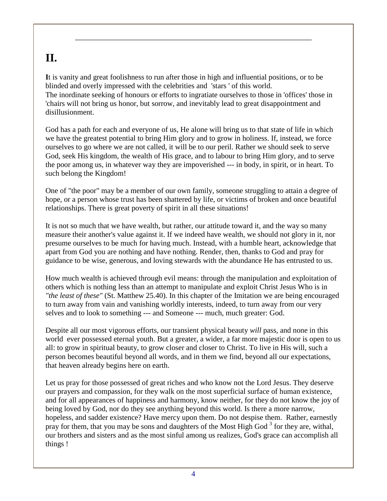#### **II.**

**I**t is vanity and great foolishness to run after those in high and influential positions, or to be blinded and overly impressed with the celebrities and 'stars ' of this world. The inordinate seeking of honours or efforts to ingratiate ourselves to those in 'offices' those in 'chairs will not bring us honor, but sorrow, and inevitably lead to great disappointment and disillusionment.

God has a path for each and everyone of us, He alone will bring us to that state of life in which we have the greatest potential to bring Him glory and to grow in holiness. If, instead, we force ourselves to go where we are not called, it will be to our peril. Rather we should seek to serve God, seek His kingdom, the wealth of His grace, and to labour to bring Him glory, and to serve the poor among us, in whatever way they are impoverished --- in body, in spirit, or in heart. To such belong the Kingdom!

One of "the poor" may be a member of our own family, someone struggling to attain a degree of hope, or a person whose trust has been shattered by life, or victims of broken and once beautiful relationships. There is great poverty of spirit in all these situations!

It is not so much that we have wealth, but rather, our attitude toward it, and the way so many measure their another's value against it. If we indeed have wealth, we should not glory in it, nor presume ourselves to be much for having much. Instead, with a humble heart, acknowledge that apart from God you are nothing and have nothing. Render, then, thanks to God and pray for guidance to be wise, generous, and loving stewards with the abundance He has entrusted to us.

How much wealth is achieved through evil means: through the manipulation and exploitation of others which is nothing less than an attempt to manipulate and exploit Christ Jesus Who is in *"the least of these"* (St. Matthew 25.40). In this chapter of the Imitation we are being encouraged to turn away from vain and vanishing worldly interests, indeed, to turn away from our very selves and to look to something --- and Someone --- much, much greater: God.

Despite all our most vigorous efforts, our transient physical beauty *will* pass, and none in this world ever possessed eternal youth. But a greater, a wider, a far more majestic door is open to us all: to grow in spiritual beauty, to grow closer and closer to Christ. To live in His will, such a person becomes beautiful beyond all words, and in them we find, beyond all our expectations, that heaven already begins here on earth.

Let us pray for those possessed of great riches and who know not the Lord Jesus. They deserve our prayers and compassion, for they walk on the most superficial surface of human existence, and for all appearances of happiness and harmony, know neither, for they do not know the joy of being loved by God, nor do they see anything beyond this world. Is there a more narrow, hopeless, and sadder existence? Have mercy upon them. Do not despise them. Rather, earnestly pray for them, that you may be sons and daughters of the Most High God<sup>3</sup> for they are, withal, our brothers and sisters and as the most sinful among us realizes, God's grace can accomplish all things !